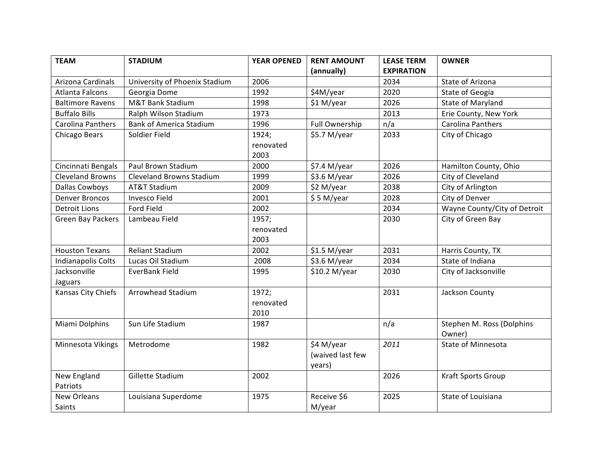| <b>TEAM</b>              | <b>STADIUM</b>                  | <b>YEAR OPENED</b> | <b>RENT AMOUNT</b> | <b>LEASE TERM</b> | <b>OWNER</b>                 |
|--------------------------|---------------------------------|--------------------|--------------------|-------------------|------------------------------|
|                          |                                 |                    | (annually)         | <b>EXPIRATION</b> |                              |
| Arizona Cardinals        | University of Phoenix Stadium   | 2006               |                    | 2034              | State of Arizona             |
| Atlanta Falcons          | Georgia Dome                    | 1992               | \$4M/year          | 2020              | State of Geogia              |
| <b>Baltimore Ravens</b>  | M&T Bank Stadium                | 1998               | \$1 M/year         | 2026              | State of Maryland            |
| <b>Buffalo Bills</b>     | Ralph Wilson Stadium            | 1973               |                    | 2013              | Erie County, New York        |
| <b>Carolina Panthers</b> | <b>Bank of America Stadium</b>  | 1996               | Full Ownership     | n/a               | Carolina Panthers            |
| Chicago Bears            | Soldier Field                   | 1924;              | \$5.7 M/year       | 2033              | City of Chicago              |
|                          |                                 | renovated          |                    |                   |                              |
|                          |                                 | 2003               |                    |                   |                              |
| Cincinnati Bengals       | Paul Brown Stadium              | 2000               | \$7.4 M/year       | 2026              | Hamilton County, Ohio        |
| <b>Cleveland Browns</b>  | <b>Cleveland Browns Stadium</b> | 1999               | \$3.6 M/year       | 2026              | City of Cleveland            |
| Dallas Cowboys           | AT&T Stadium                    | 2009               | \$2 M/year         | 2038              | City of Arlington            |
| <b>Denver Broncos</b>    | <b>Invesco Field</b>            | 2001               | \$5 M/year         | 2028              | City of Denver               |
| <b>Detroit Lions</b>     | Ford Field                      | 2002               |                    | 2034              | Wayne County/City of Detroit |
| Green Bay Packers        | Lambeau Field                   | 1957;              |                    | 2030              | City of Green Bay            |
|                          |                                 | renovated          |                    |                   |                              |
|                          |                                 | 2003               |                    |                   |                              |
| <b>Houston Texans</b>    | <b>Reliant Stadium</b>          | 2002               | \$1.5 M/year       | 2031              | Harris County, TX            |
| Indianapolis Colts       | Lucas Oil Stadium               | 2008               | \$3.6 M/year       | 2034              | State of Indiana             |
| Jacksonville             | EverBank Field                  | 1995               | \$10.2 M/year      | 2030              | City of Jacksonville         |
| Jaguars                  |                                 |                    |                    |                   |                              |
| Kansas City Chiefs       | <b>Arrowhead Stadium</b>        | 1972;              |                    | 2031              | Jackson County               |
|                          |                                 | renovated          |                    |                   |                              |
|                          |                                 | 2010               |                    |                   |                              |
| Miami Dolphins           | Sun Life Stadium                | 1987               |                    | n/a               | Stephen M. Ross (Dolphins    |
|                          |                                 |                    |                    |                   | Owner)                       |
| Minnesota Vikings        | Metrodome                       | 1982               | \$4 M/year         | 2011              | <b>State of Minnesota</b>    |
|                          |                                 |                    | (waived last few   |                   |                              |
|                          |                                 |                    | years)             |                   |                              |
| New England              | Gillette Stadium                | 2002               |                    | 2026              | Kraft Sports Group           |
| Patriots                 |                                 |                    |                    |                   |                              |
| New Orleans              | Louisiana Superdome             | 1975               | Receive \$6        | 2025              | State of Louisiana           |
| Saints                   |                                 |                    | M/year             |                   |                              |